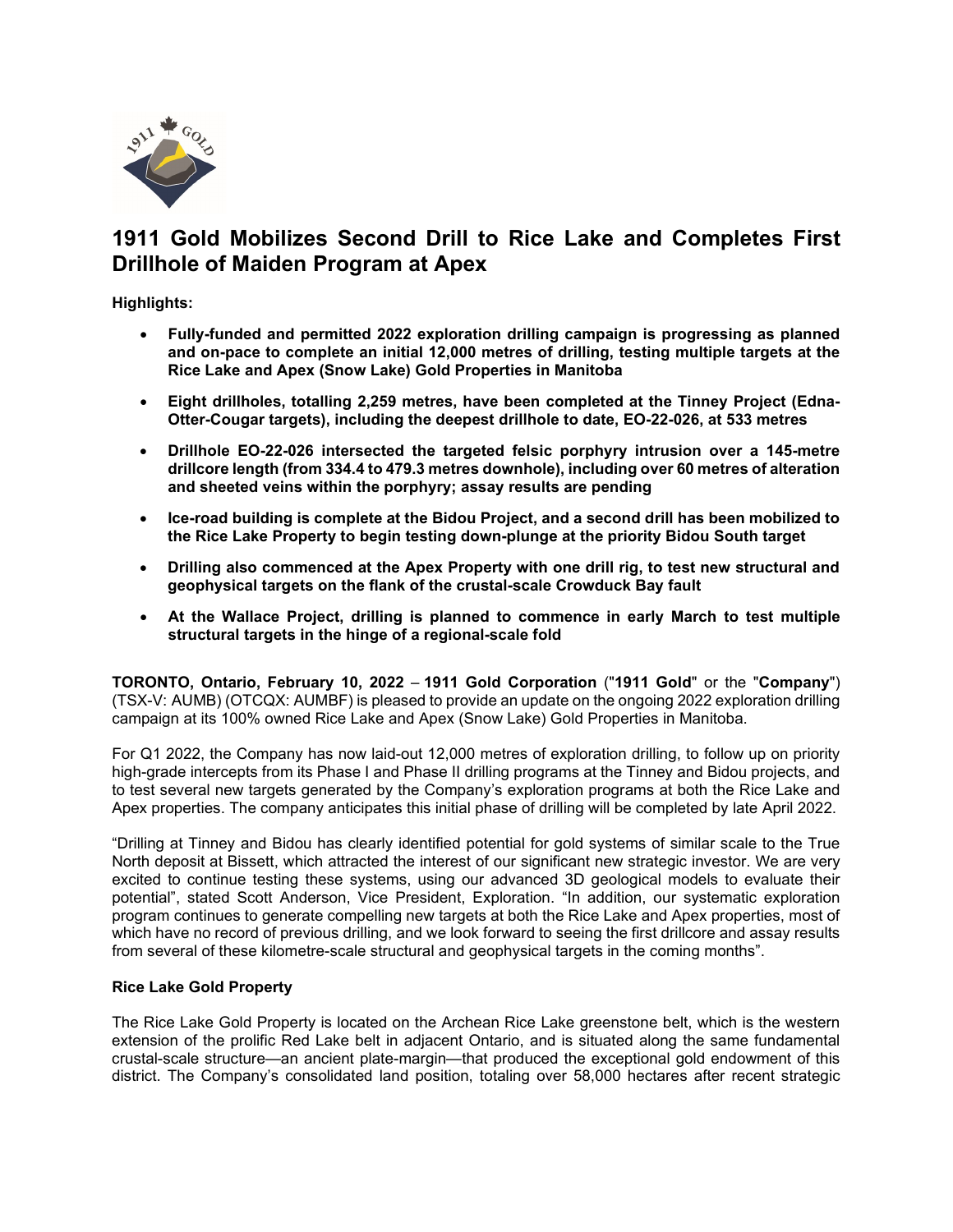

# **1911 Gold Mobilizes Second Drill to Rice Lake and Completes First Drillhole of Maiden Program at Apex**

**Highlights:**

- **Fully-funded and permitted 2022 exploration drilling campaign is progressing as planned and on-pace to complete an initial 12,000 metres of drilling, testing multiple targets at the Rice Lake and Apex (Snow Lake) Gold Properties in Manitoba**
- **Eight drillholes, totalling 2,259 metres, have been completed at the Tinney Project (Edna-Otter-Cougar targets), including the deepest drillhole to date, EO-22-026, at 533 metres**
- **Drillhole EO-22-026 intersected the targeted felsic porphyry intrusion over a 145-metre drillcore length (from 334.4 to 479.3 metres downhole), including over 60 metres of alteration and sheeted veins within the porphyry; assay results are pending**
- **Ice-road building is complete at the Bidou Project, and a second drill has been mobilized to the Rice Lake Property to begin testing down-plunge at the priority Bidou South target**
- **Drilling also commenced at the Apex Property with one drill rig, to test new structural and geophysical targets on the flank of the crustal-scale Crowduck Bay fault**
- **At the Wallace Project, drilling is planned to commence in early March to test multiple structural targets in the hinge of a regional-scale fold**

**TORONTO, Ontario, February 10, 2022** – **1911 Gold Corporation** ("**1911 Gold**" or the "**Company**") (TSX-V: AUMB) (OTCQX: AUMBF) is pleased to provide an update on the ongoing 2022 exploration drilling campaign at its 100% owned Rice Lake and Apex (Snow Lake) Gold Properties in Manitoba.

For Q1 2022, the Company has now laid-out 12,000 metres of exploration drilling, to follow up on priority high-grade intercepts from its Phase I and Phase II drilling programs at the Tinney and Bidou projects, and to test several new targets generated by the Company's exploration programs at both the Rice Lake and Apex properties. The company anticipates this initial phase of drilling will be completed by late April 2022.

"Drilling at Tinney and Bidou has clearly identified potential for gold systems of similar scale to the True North deposit at Bissett, which attracted the interest of our significant new strategic investor. We are very excited to continue testing these systems, using our advanced 3D geological models to evaluate their potential", stated Scott Anderson, Vice President, Exploration. "In addition, our systematic exploration program continues to generate compelling new targets at both the Rice Lake and Apex properties, most of which have no record of previous drilling, and we look forward to seeing the first drillcore and assay results from several of these kilometre-scale structural and geophysical targets in the coming months".

## **Rice Lake Gold Property**

The Rice Lake Gold Property is located on the Archean Rice Lake greenstone belt, which is the western extension of the prolific Red Lake belt in adjacent Ontario, and is situated along the same fundamental crustal-scale structure—an ancient plate-margin—that produced the exceptional gold endowment of this district. The Company's consolidated land position, totaling over 58,000 hectares after recent strategic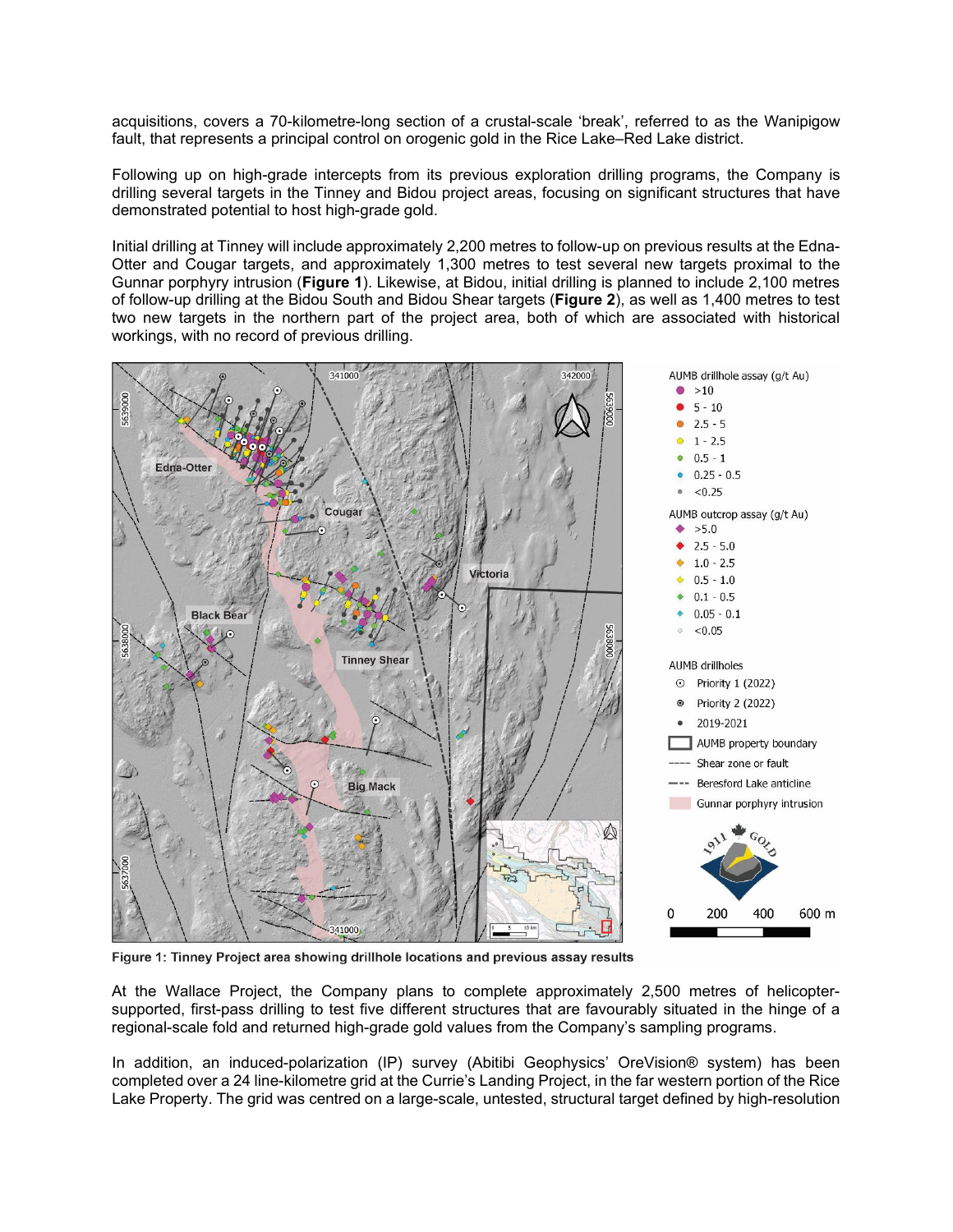acquisitions, covers a 70-kilometre-long section of a crustal-scale 'break', referred to as the Wanipigow fault, that represents a principal control on orogenic gold in the Rice Lake–Red Lake district.

Following up on high-grade intercepts from its previous exploration drilling programs, the Company is drilling several targets in the Tinney and Bidou project areas, focusing on significant structures that have demonstrated potential to host high-grade gold.

Initial drilling at Tinney will include approximately 2,200 metres to follow-up on previous results at the Edna-Otter and Cougar targets, and approximately 1,300 metres to test several new targets proximal to the Gunnar porphyry intrusion (**Figure 1**). Likewise, at Bidou, initial drilling is planned to include 2,100 metres of follow-up drilling at the Bidou South and Bidou Shear targets (**Figure 2**), as well as 1,400 metres to test two new targets in the northern part of the project area, both of which are associated with historical workings, with no record of previous drilling.



Figure 1: Tinney Project area showing drillhole locations and previous assay results

At the Wallace Project, the Company plans to complete approximately 2,500 metres of helicoptersupported, first-pass drilling to test five different structures that are favourably situated in the hinge of a regional-scale fold and returned high-grade gold values from the Company's sampling programs.

In addition, an induced-polarization (IP) survey (Abitibi Geophysics' OreVision® system) has been completed over a 24 line-kilometre grid at the Currie's Landing Project, in the far western portion of the Rice Lake Property. The grid was centred on a large-scale, untested, structural target defined by high-resolution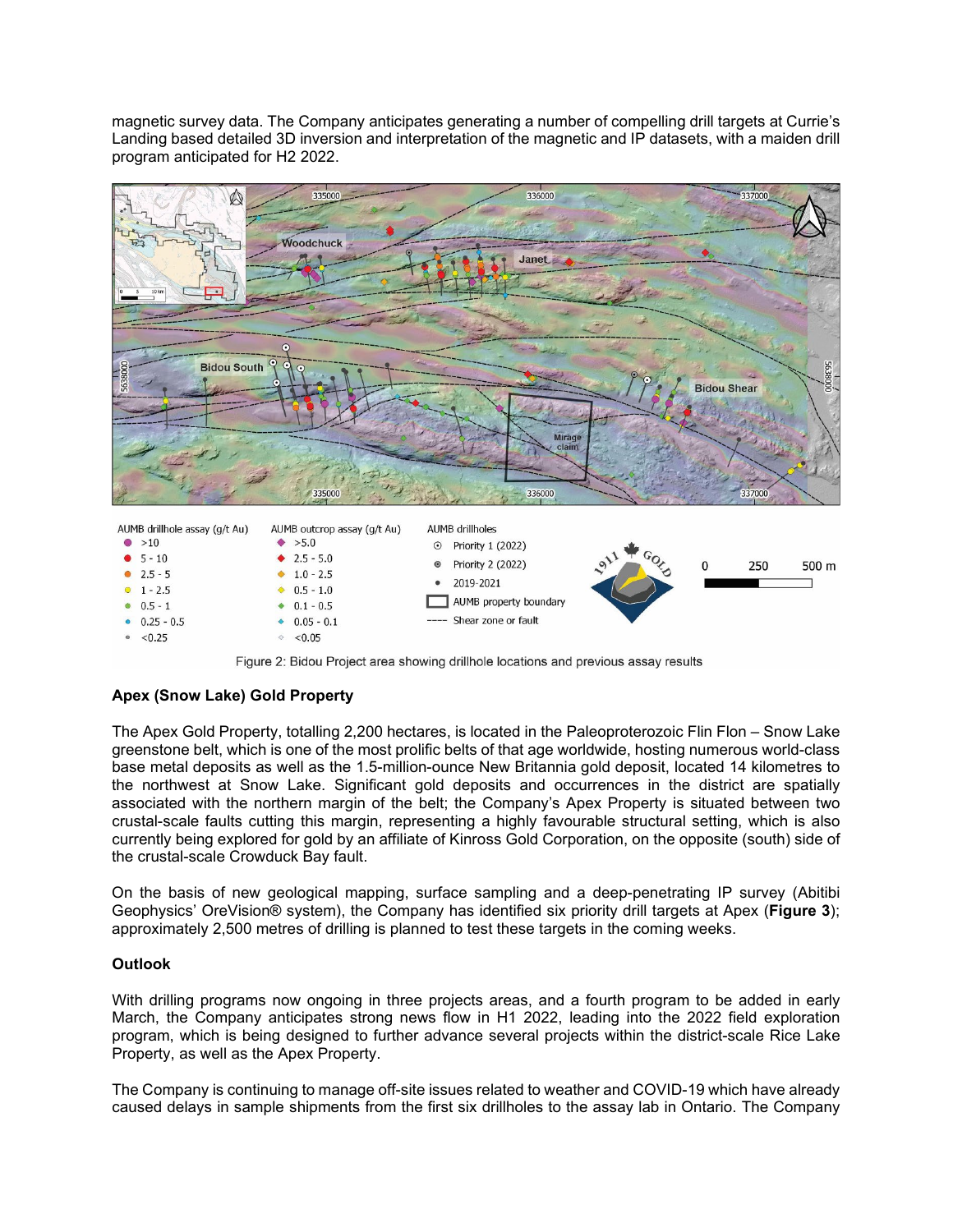magnetic survey data. The Company anticipates generating a number of compelling drill targets at Currie's Landing based detailed 3D inversion and interpretation of the magnetic and IP datasets, with a maiden drill program anticipated for H2 2022.



Figure 2: Bidou Project area showing drillhole locations and previous assay results

## **Apex (Snow Lake) Gold Property**

 $\circ$  < 0.05

The Apex Gold Property, totalling 2,200 hectares, is located in the Paleoproterozoic Flin Flon – Snow Lake greenstone belt, which is one of the most prolific belts of that age worldwide, hosting numerous world-class base metal deposits as well as the 1.5-million-ounce New Britannia gold deposit, located 14 kilometres to the northwest at Snow Lake. Significant gold deposits and occurrences in the district are spatially associated with the northern margin of the belt; the Company's Apex Property is situated between two crustal-scale faults cutting this margin, representing a highly favourable structural setting, which is also currently being explored for gold by an affiliate of Kinross Gold Corporation, on the opposite (south) side of the crustal-scale Crowduck Bay fault.

On the basis of new geological mapping, surface sampling and a deep-penetrating IP survey (Abitibi Geophysics' OreVision® system), the Company has identified six priority drill targets at Apex (**Figure 3**); approximately 2,500 metres of drilling is planned to test these targets in the coming weeks.

## **Outlook**

 $< 0.25$ 

With drilling programs now ongoing in three projects areas, and a fourth program to be added in early March, the Company anticipates strong news flow in H1 2022, leading into the 2022 field exploration program, which is being designed to further advance several projects within the district-scale Rice Lake Property, as well as the Apex Property.

The Company is continuing to manage off-site issues related to weather and COVID-19 which have already caused delays in sample shipments from the first six drillholes to the assay lab in Ontario. The Company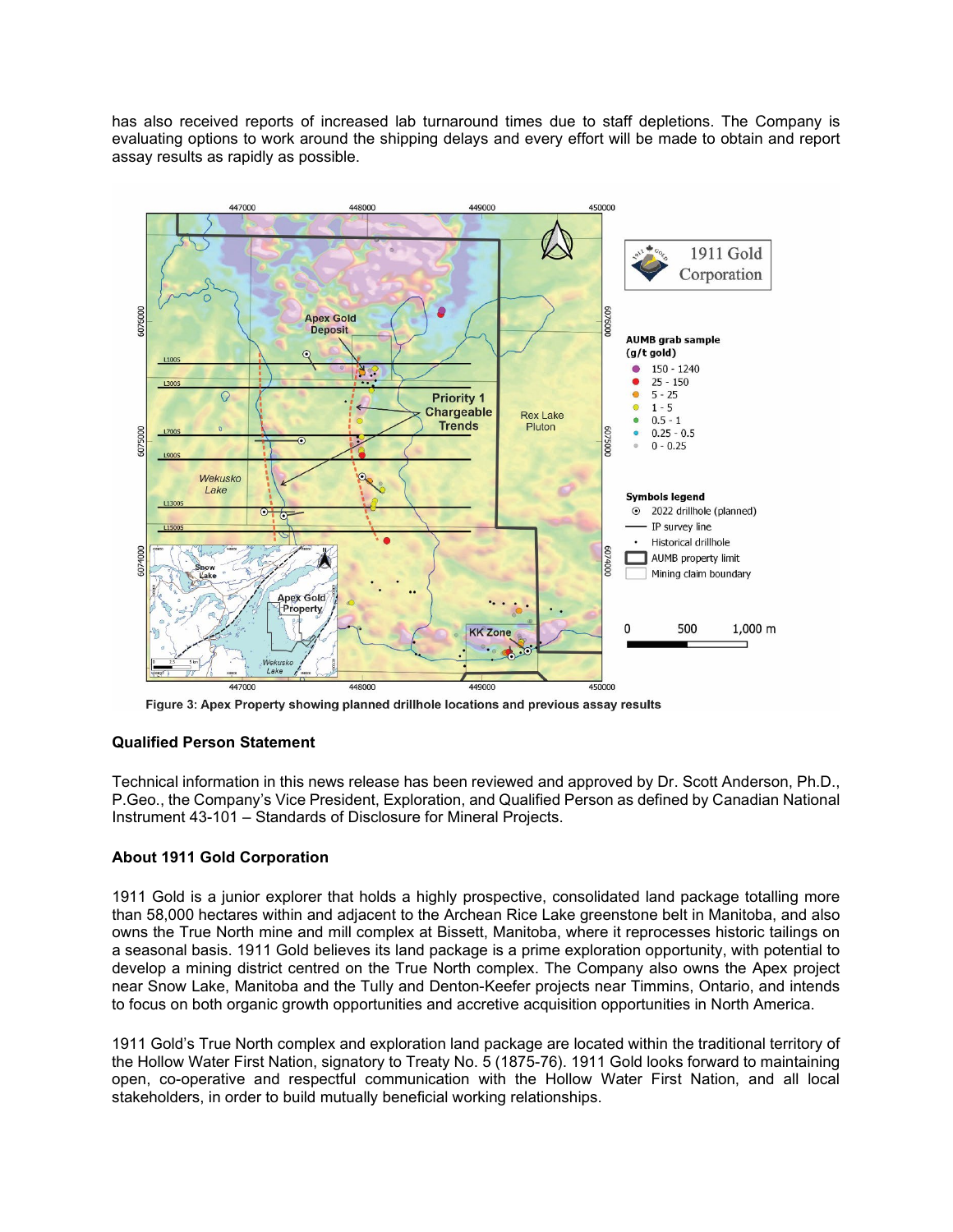has also received reports of increased lab turnaround times due to staff depletions. The Company is evaluating options to work around the shipping delays and every effort will be made to obtain and report assay results as rapidly as possible.



Figure 3: Apex Property showing planned drillhole locations and previous assay results

## **Qualified Person Statement**

Technical information in this news release has been reviewed and approved by Dr. Scott Anderson, Ph.D., P.Geo., the Company's Vice President, Exploration, and Qualified Person as defined by Canadian National Instrument 43-101 – Standards of Disclosure for Mineral Projects.

## **About 1911 Gold Corporation**

1911 Gold is a junior explorer that holds a highly prospective, consolidated land package totalling more than 58,000 hectares within and adjacent to the Archean Rice Lake greenstone belt in Manitoba, and also owns the True North mine and mill complex at Bissett, Manitoba, where it reprocesses historic tailings on a seasonal basis. 1911 Gold believes its land package is a prime exploration opportunity, with potential to develop a mining district centred on the True North complex. The Company also owns the Apex project near Snow Lake, Manitoba and the Tully and Denton-Keefer projects near Timmins, Ontario, and intends to focus on both organic growth opportunities and accretive acquisition opportunities in North America.

1911 Gold's True North complex and exploration land package are located within the traditional territory of the Hollow Water First Nation, signatory to Treaty No. 5 (1875-76). 1911 Gold looks forward to maintaining open, co-operative and respectful communication with the Hollow Water First Nation, and all local stakeholders, in order to build mutually beneficial working relationships.